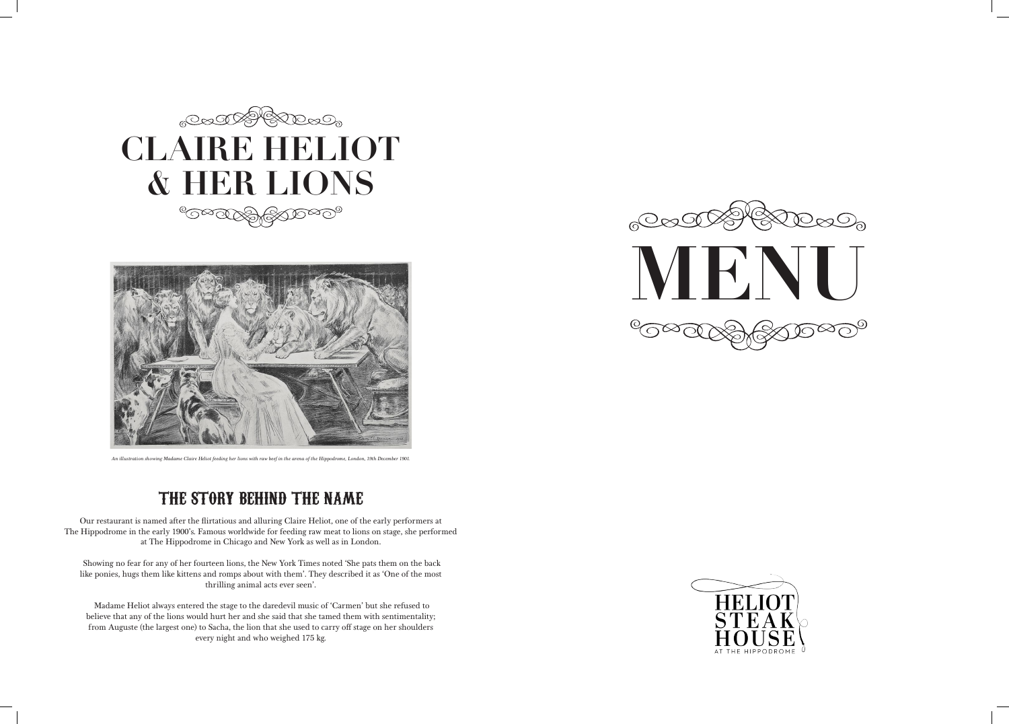







*An illustration showing Madame Claire Heliot feeding her lions with raw beef in the arena of the Hippodrome, London, 19th December 1901.*

### THE STORY BEHIND THE NAME

Our restaurant is named after the flirtatious and alluring Claire Heliot, one of the early performers at The Hippodrome in the early 1900's. Famous worldwide for feeding raw meat to lions on stage, she performed at The Hippodrome in Chicago and New York as well as in London.

 Showing no fear for any of her fourteen lions, the New York Times noted 'She pats them on the back like ponies, hugs them like kittens and romps about with them'. They described it as 'One of the most thrilling animal acts ever seen'.

 Madame Heliot always entered the stage to the daredevil music of 'Carmen' but she refused to believe that any of the lions would hurt her and she said that she tamed them with sentimentality; from Auguste (the largest one) to Sacha, the lion that she used to carry off stage on her shoulders every night and who weighed 175 kg.